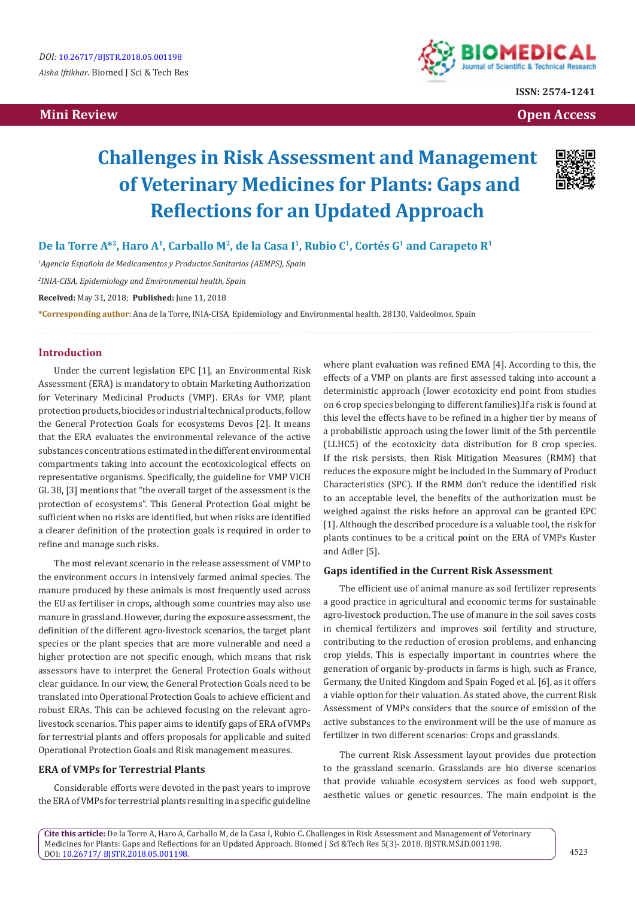# **Mini Review Open Access**



**ISSN: 2574-1241**

# **Challenges in Risk Assessment and Management of Veterinary Medicines for Plants: Gaps and Reflections for an Updated Approach**



De la Torre A<sup>\*2</sup>, Haro A<sup>1</sup>, Carballo M<sup>2</sup>, de la Casa I<sup>1</sup>, Rubio C<sup>1</sup>, Cortés G<sup>1</sup> and Carapeto R<sup>1</sup>

*1 Agencia Española de Medicamentos y Productos Sanitarios (AEMPS), Spain*

*2 INIA-CISA, Epidemiology and Environmental health, Spain*

**Received:** May 31, 2018; **Published:** June 11, 2018

**\*Corresponding author:** Ana de la Torre, INIA-CISA, Epidemiology and Environmental health, 28130, Valdeolmos, Spain

### **Introduction**

Under the current legislation EPC [1], an Environmental Risk Assessment (ERA) is mandatory to obtain Marketing Authorization for Veterinary Medicinal Products (VMP). ERAs for VMP, plant protection products, biocides or industrial technical products, follow the General Protection Goals for ecosystems Devos [2]. It means that the ERA evaluates the environmental relevance of the active substances concentrations estimated in the different environmental compartments taking into account the ecotoxicological effects on representative organisms. Specifically, the guideline for VMP VICH GL 38, [3] mentions that "the overall target of the assessment is the protection of ecosystems". This General Protection Goal might be sufficient when no risks are identified, but when risks are identified a clearer definition of the protection goals is required in order to refine and manage such risks.

The most relevant scenario in the release assessment of VMP to the environment occurs in intensively farmed animal species. The manure produced by these animals is most frequently used across the EU as fertiliser in crops, although some countries may also use manure in grassland. However, during the exposure assessment, the definition of the different agro-livestock scenarios, the target plant species or the plant species that are more vulnerable and need a higher protection are not specific enough, which means that risk assessors have to interpret the General Protection Goals without clear guidance. In our view, the General Protection Goals need to be translated into Operational Protection Goals to achieve efficient and robust ERAs. This can be achieved focusing on the relevant agrolivestock scenarios. This paper aims to identify gaps of ERA of VMPs for terrestrial plants and offers proposals for applicable and suited Operational Protection Goals and Risk management measures.

#### **ERA of VMPs for Terrestrial Plants**

Considerable efforts were devoted in the past years to improve the ERA of VMPs for terrestrial plants resulting in a specific guideline where plant evaluation was refined EMA [4]. According to this, the effects of a VMP on plants are first assessed taking into account a deterministic approach (lower ecotoxicity end point from studies on 6 crop species belonging to different families).If a risk is found at this level the effects have to be refined in a higher tier by means of a probabilistic approach using the lower limit of the 5th percentile (LLHC5) of the ecotoxicity data distribution for 8 crop species. If the risk persists, then Risk Mitigation Measures (RMM) that reduces the exposure might be included in the Summary of Product Characteristics (SPC). If the RMM don't reduce the identified risk to an acceptable level, the benefits of the authorization must be weighed against the risks before an approval can be granted EPC [1]. Although the described procedure is a valuable tool, the risk for plants continues to be a critical point on the ERA of VMPs Kuster and Adler [5].

#### **Gaps identified in the Current Risk Assessment**

The efficient use of animal manure as soil fertilizer represents a good practice in agricultural and economic terms for sustainable agro-livestock production. The use of manure in the soil saves costs in chemical fertilizers and improves soil fertility and structure, contributing to the reduction of erosion problems, and enhancing crop yields. This is especially important in countries where the generation of organic by-products in farms is high, such as France, Germany, the United Kingdom and Spain Foged et al. [6], as it offers a viable option for their valuation. As stated above, the current Risk Assessment of VMPs considers that the source of emission of the active substances to the environment will be the use of manure as fertilizer in two different scenarios: Crops and grasslands.

The current Risk Assessment layout provides due protection to the grassland scenario. Grasslands are bio diverse scenarios that provide valuable ecosystem services as food web support, aesthetic values or genetic resources. The main endpoint is the

**Cite this article:** De la Torre A, Haro A, Carballo M, de la Casa I, Rubio C**.** Challenges in Risk Assessment and Management of Veterinary Medicines for Plants: Gaps and Reflections for an Updated Approach. Biomed J Sci &Tech Res 5(3)- 2018. BJSTR.MS.ID.001198. DOI: [10.26717/ BJSTR.2018.05.001198.](http://dx.doi.org/10.26717/BJSTR.2018.05.001198)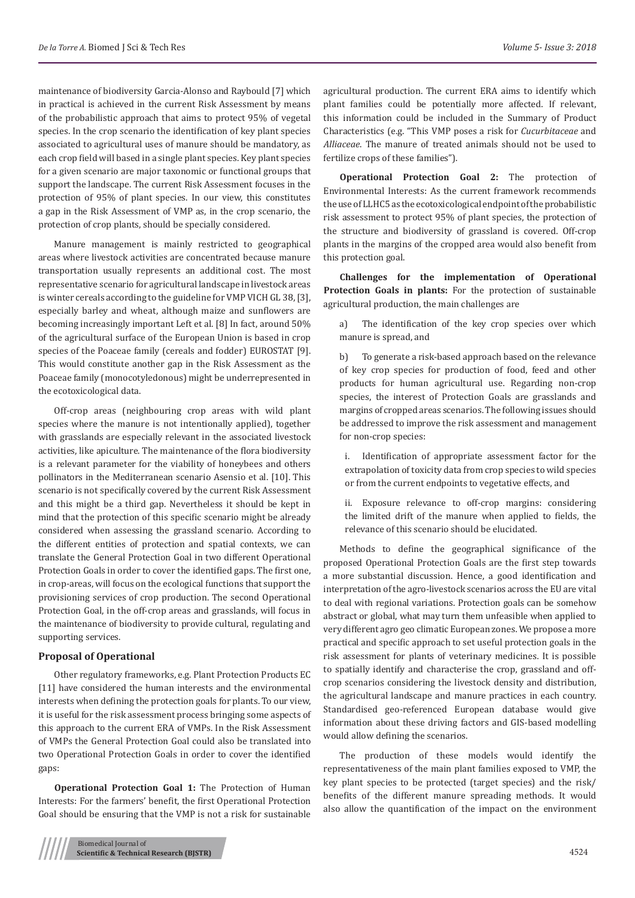maintenance of biodiversity Garcia-Alonso and Raybould [7] which in practical is achieved in the current Risk Assessment by means of the probabilistic approach that aims to protect 95% of vegetal species. In the crop scenario the identification of key plant species associated to agricultural uses of manure should be mandatory, as each crop field will based in a single plant species. Key plant species for a given scenario are major taxonomic or functional groups that support the landscape. The current Risk Assessment focuses in the protection of 95% of plant species. In our view, this constitutes a gap in the Risk Assessment of VMP as, in the crop scenario, the protection of crop plants, should be specially considered.

Manure management is mainly restricted to geographical areas where livestock activities are concentrated because manure transportation usually represents an additional cost. The most representative scenario for agricultural landscape in livestock areas is winter cereals according to the guideline for VMP VICH GL 38, [3], especially barley and wheat, although maize and sunflowers are becoming increasingly important Left et al. [8] In fact, around 50% of the agricultural surface of the European Union is based in crop species of the Poaceae family (cereals and fodder) EUROSTAT [9]. This would constitute another gap in the Risk Assessment as the Poaceae family (monocotyledonous) might be underrepresented in the ecotoxicological data.

Off-crop areas (neighbouring crop areas with wild plant species where the manure is not intentionally applied), together with grasslands are especially relevant in the associated livestock activities, like apiculture. The maintenance of the flora biodiversity is a relevant parameter for the viability of honeybees and others pollinators in the Mediterranean scenario Asensio et al. [10]. This scenario is not specifically covered by the current Risk Assessment and this might be a third gap. Nevertheless it should be kept in mind that the protection of this specific scenario might be already considered when assessing the grassland scenario. According to the different entities of protection and spatial contexts, we can translate the General Protection Goal in two different Operational Protection Goals in order to cover the identified gaps. The first one, in crop-areas, will focus on the ecological functions that support the provisioning services of crop production. The second Operational Protection Goal, in the off-crop areas and grasslands, will focus in the maintenance of biodiversity to provide cultural, regulating and supporting services.

#### **Proposal of Operational**

Other regulatory frameworks, e.g. Plant Protection Products EC [11] have considered the human interests and the environmental interests when defining the protection goals for plants. To our view, it is useful for the risk assessment process bringing some aspects of this approach to the current ERA of VMPs. In the Risk Assessment of VMPs the General Protection Goal could also be translated into two Operational Protection Goals in order to cover the identified gaps:

**Operational Protection Goal 1:** The Protection of Human Interests: For the farmers' benefit, the first Operational Protection Goal should be ensuring that the VMP is not a risk for sustainable

**Operational Protection Goal 2:** The protection of Environmental Interests: As the current framework recommends the use of LLHC5 as the ecotoxicological endpoint of the probabilistic risk assessment to protect 95% of plant species, the protection of the structure and biodiversity of grassland is covered. Off-crop plants in the margins of the cropped area would also benefit from this protection goal.

**Challenges for the implementation of Operational Protection Goals in plants:** For the protection of sustainable agricultural production, the main challenges are

a) The identification of the key crop species over which manure is spread, and

b) To generate a risk-based approach based on the relevance of key crop species for production of food, feed and other products for human agricultural use. Regarding non-crop species, the interest of Protection Goals are grasslands and margins of cropped areas scenarios. The following issues should be addressed to improve the risk assessment and management for non-crop species:

i. Identification of appropriate assessment factor for the extrapolation of toxicity data from crop species to wild species or from the current endpoints to vegetative effects, and

ii. Exposure relevance to off-crop margins: considering the limited drift of the manure when applied to fields, the relevance of this scenario should be elucidated.

Methods to define the geographical significance of the proposed Operational Protection Goals are the first step towards a more substantial discussion. Hence, a good identification and interpretation of the agro-livestock scenarios across the EU are vital to deal with regional variations. Protection goals can be somehow abstract or global, what may turn them unfeasible when applied to very different agro geo climatic European zones. We propose a more practical and specific approach to set useful protection goals in the risk assessment for plants of veterinary medicines. It is possible to spatially identify and characterise the crop, grassland and offcrop scenarios considering the livestock density and distribution, the agricultural landscape and manure practices in each country. Standardised geo-referenced European database would give information about these driving factors and GIS-based modelling would allow defining the scenarios.

The production of these models would identify the representativeness of the main plant families exposed to VMP, the key plant species to be protected (target species) and the risk/ benefits of the different manure spreading methods. It would also allow the quantification of the impact on the environment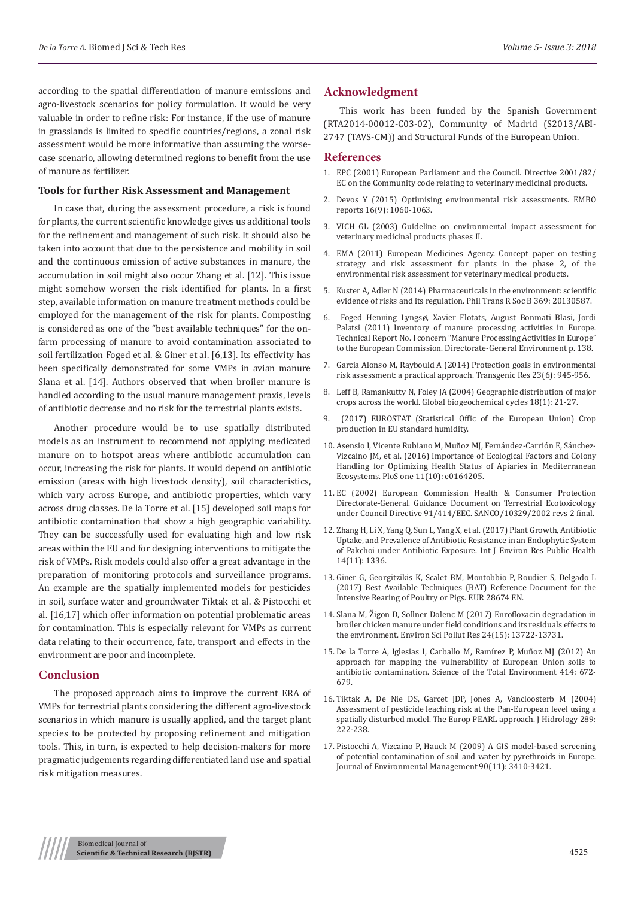according to the spatial differentiation of manure emissions and agro-livestock scenarios for policy formulation. It would be very valuable in order to refine risk: For instance, if the use of manure in grasslands is limited to specific countries/regions, a zonal risk assessment would be more informative than assuming the worsecase scenario, allowing determined regions to benefit from the use of manure as fertilizer.

#### **Tools for further Risk Assessment and Management**

In case that, during the assessment procedure, a risk is found for plants, the current scientific knowledge gives us additional tools for the refinement and management of such risk. It should also be taken into account that due to the persistence and mobility in soil and the continuous emission of active substances in manure, the accumulation in soil might also occur Zhang et al. [12]. This issue might somehow worsen the risk identified for plants. In a first step, available information on manure treatment methods could be employed for the management of the risk for plants. Composting is considered as one of the "best available techniques" for the onfarm processing of manure to avoid contamination associated to soil fertilization Foged et al. & Giner et al. [6,13]. Its effectivity has been specifically demonstrated for some VMPs in avian manure Slana et al. [14]. Authors observed that when broiler manure is handled according to the usual manure management praxis, levels of antibiotic decrease and no risk for the terrestrial plants exists.

Another procedure would be to use spatially distributed models as an instrument to recommend not applying medicated manure on to hotspot areas where antibiotic accumulation can occur, increasing the risk for plants. It would depend on antibiotic emission (areas with high livestock density), soil characteristics, which vary across Europe, and antibiotic properties, which vary across drug classes. De la Torre et al. [15] developed soil maps for antibiotic contamination that show a high geographic variability. They can be successfully used for evaluating high and low risk areas within the EU and for designing interventions to mitigate the risk of VMPs. Risk models could also offer a great advantage in the preparation of monitoring protocols and surveillance programs. An example are the spatially implemented models for pesticides in soil, surface water and groundwater Tiktak et al. & Pistocchi et al. [16,17] which offer information on potential problematic areas for contamination. This is especially relevant for VMPs as current data relating to their occurrence, fate, transport and effects in the environment are poor and incomplete.

# **Conclusion**

The proposed approach aims to improve the current ERA of VMPs for terrestrial plants considering the different agro-livestock scenarios in which manure is usually applied, and the target plant species to be protected by proposing refinement and mitigation tools. This, in turn, is expected to help decision-makers for more pragmatic judgements regarding differentiated land use and spatial risk mitigation measures.

# **Acknowledgment**

This work has been funded by the Spanish Government (RTA2014-00012-C03-02), Community of Madrid (S2013/ABI-2747 (TAVS-CM)) and Structural Funds of the European Union.

#### **References**

- 1. EPC (2001) European Parliament and the Council. Directive 2001/82/ EC on the Community code relating to veterinary medicinal products.
- 2. [Devos Y \(2015\) Optimising environmental risk assessments. EMBO](https://www.ncbi.nlm.nih.gov/pmc/articles/PMC4576975/) [reports 16\(9\): 1060-1063.](https://www.ncbi.nlm.nih.gov/pmc/articles/PMC4576975/)
- 3. [VICH GL \(2003\) Guideline on environmental impact assessment for](https://www.criver.com/sites/default/files/resource-files/SA-TS-environmental-impact-Risk-assessment-of-veterinary-medicinal-products.pdf) [veterinary medicinal products phases II.](https://www.criver.com/sites/default/files/resource-files/SA-TS-environmental-impact-Risk-assessment-of-veterinary-medicinal-products.pdf)
- 4. [EMA \(2011\) European Medicines Agency. Concept paper on testing](http://www.ema.europa.eu/docs/en_GB/document_library/Scientific_guideline/2015/06/WC500188357.pdf) [strategy and risk assessment for plants in the phase 2, of the](http://www.ema.europa.eu/docs/en_GB/document_library/Scientific_guideline/2015/06/WC500188357.pdf) [environmental risk assessment for veterinary medical products.](http://www.ema.europa.eu/docs/en_GB/document_library/Scientific_guideline/2015/06/WC500188357.pdf)
- 5. [Kuster A, Adler N \(2014\) Pharmaceuticals in the environment: scientific](https://www.ncbi.nlm.nih.gov/pmc/articles/PMC4213597/) [evidence of risks and its regulation. Phil Trans R Soc B 369: 20130587.](https://www.ncbi.nlm.nih.gov/pmc/articles/PMC4213597/)
- 6. [Foged Henning Lyngsø, Xavier Flotats, August Bonmati Blasi, Jordi](https://www.researchgate.net/publication/267095323_Inventory_of_Manure_Processing_Activities_in_Europe) [Palatsi \(2011\) Inventory of manure processing activities in Europe.](https://www.researchgate.net/publication/267095323_Inventory_of_Manure_Processing_Activities_in_Europe) [Technical Report No. I concern "Manure Processing Activities in Europe"](https://www.researchgate.net/publication/267095323_Inventory_of_Manure_Processing_Activities_in_Europe) [to the European Commission. Directorate-General Environment p. 138.](https://www.researchgate.net/publication/267095323_Inventory_of_Manure_Processing_Activities_in_Europe)
- 7. [Garcia Alonso M, Raybould A \(2014\) Protection goals in environmental](https://www.ncbi.nlm.nih.gov/pubmed/24154954) [risk assessment: a practical approach. Transgenic Res 23\(6\): 945-956.](https://www.ncbi.nlm.nih.gov/pubmed/24154954)
- 8. [Leff B, Ramankutty N, Foley JA \(2004\) Geographic distribution of major](https://agupubs.onlinelibrary.wiley.com/doi/pdf/10.1029/2003GB002108) [crops across the world. Global biogeochemical cycles 18\(1\): 21-27.](https://agupubs.onlinelibrary.wiley.com/doi/pdf/10.1029/2003GB002108)
- 9. (2017) EUROSTAT (Statistical Offic of the European Union) Crop production in EU standard humidity.
- 10. [Asensio I, Vicente Rubiano M, Muñoz MJ, Fernández-Carrión E, Sánchez-](http://journals.plos.org/plosone/article?id=10.1371/journal.pone.0164205)[Vizcaíno JM, et al. \(2016\) Importance of Ecological Factors and Colony](http://journals.plos.org/plosone/article?id=10.1371/journal.pone.0164205) [Handling for Optimizing Health Status of Apiaries in Mediterranean](http://journals.plos.org/plosone/article?id=10.1371/journal.pone.0164205) [Ecosystems. PloS one 11\(10\): e0164205.](http://journals.plos.org/plosone/article?id=10.1371/journal.pone.0164205)
- 11. EC (2002) European Commission Health & Consumer Protection Directorate-General. Guidance Document on Terrestrial Ecotoxicology under Council Directive 91/414/EEC. SANCO/10329/2002 revs 2 final.
- 12. [Zhang H, Li X, Yang Q, Sun L, Yang X, et al. \(2017\) Plant Growth, Antibiotic](https://www.ncbi.nlm.nih.gov/pubmed/29099753) [Uptake, and Prevalence of Antibiotic Resistance in an Endophytic System](https://www.ncbi.nlm.nih.gov/pubmed/29099753) [of Pakchoi under Antibiotic Exposure. Int J Environ Res Public Health](https://www.ncbi.nlm.nih.gov/pubmed/29099753) [14\(11\): 1336.](https://www.ncbi.nlm.nih.gov/pubmed/29099753)
- 13. [Giner G, Georgitzikis K, Scalet BM, Montobbio P, Roudier S, Delgado L](https://ec.europa.eu/jrc/en/publication/eur-scientific-and-technical-research-reports/best-available-techniques-bat-reference-document-intensive-rearing-poultry-or-pigs) [\(2017\) Best Available Techniques \(BAT\) Reference Document for the](https://ec.europa.eu/jrc/en/publication/eur-scientific-and-technical-research-reports/best-available-techniques-bat-reference-document-intensive-rearing-poultry-or-pigs) [Intensive Rearing of Poultry or Pigs. EUR 28674 EN.](https://ec.europa.eu/jrc/en/publication/eur-scientific-and-technical-research-reports/best-available-techniques-bat-reference-document-intensive-rearing-poultry-or-pigs)
- 14. [Slana M, Žigon D, Sollner Dolenc M \(2017\) Enrofloxacin degradation in](https://www.ncbi.nlm.nih.gov/pubmed/28401385) [broiler chicken manure under field conditions and its residuals effects to](https://www.ncbi.nlm.nih.gov/pubmed/28401385) [the environment. Environ Sci Pollut Res 24\(15\): 13722-13731.](https://www.ncbi.nlm.nih.gov/pubmed/28401385)
- 15. [De la Torre A, Iglesias I, Carballo M, Ramírez P, Muñoz MJ \(2012\) An](https://www.ncbi.nlm.nih.gov/pubmed/22154480) [approach for mapping the vulnerability of European Union soils to](https://www.ncbi.nlm.nih.gov/pubmed/22154480) [antibiotic contamination. Science of the Total Environment 414: 672-](https://www.ncbi.nlm.nih.gov/pubmed/22154480) [679.](https://www.ncbi.nlm.nih.gov/pubmed/22154480)
- 16. [Tiktak A, De Nie DS, Garcet JDP, Jones A, Vancloosterb M \(2004\)](http://www.ucd.ie/dipcon/docs/theme08/theme08_10.PDF) [Assessment of pesticide leaching risk at the Pan-European level using a](http://www.ucd.ie/dipcon/docs/theme08/theme08_10.PDF) [spatially disturbed model. The Europ PEARL approach. J Hidrology 289:](http://www.ucd.ie/dipcon/docs/theme08/theme08_10.PDF) [222-238.](http://www.ucd.ie/dipcon/docs/theme08/theme08_10.PDF)
- 17. [Pistocchi A, Vizcaino P, Hauck M \(2009\) A GIS model-based screening](https://www.sciencedirect.com/science/article/pii/S030147970900187X) [of potential contamination of soil and water by pyrethroids in Europe.](https://www.sciencedirect.com/science/article/pii/S030147970900187X) [Journal of Environmental Management 90\(11\): 3410-3421.](https://www.sciencedirect.com/science/article/pii/S030147970900187X)